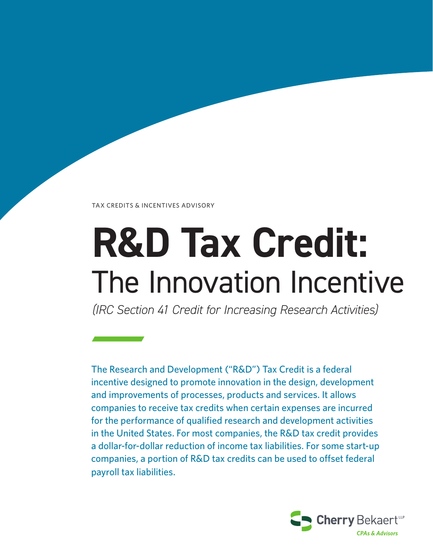TAX CREDITS & INCENTIVES ADVISORY

# **R&D Tax Credit:** The Innovation Incentive

*(IRC Section 41 Credit for Increasing Research Activities)*

The Research and Development ("R&D") Tax Credit is a federal incentive designed to promote innovation in the design, development and improvements of processes, products and services. It allows companies to receive tax credits when certain expenses are incurred for the performance of qualified research and development activities in the United States. For most companies, the R&D tax credit provides a dollar-for-dollar reduction of income tax liabilities. For some start-up companies, a portion of R&D tax credits can be used to offset federal payroll tax liabilities.

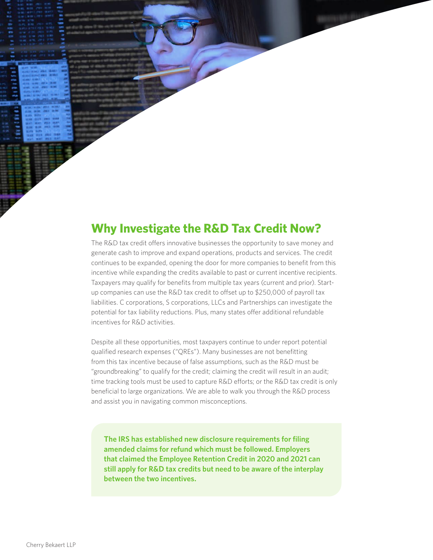**Why Investigate the R&D Tax Credit Now?**

The R&D tax credit offers innovative businesses the opportunity to save money and generate cash to improve and expand operations, products and services. The credit continues to be expanded, opening the door for more companies to benefit from this incentive while expanding the credits available to past or current incentive recipients. Taxpayers may qualify for benefits from multiple tax years (current and prior). Startup companies can use the R&D tax credit to offset up to \$250,000 of payroll tax liabilities. C corporations, S corporations, LLCs and Partnerships can investigate the potential for tax liability reductions. Plus, many states offer additional refundable incentives for R&D activities.

Despite all these opportunities, most taxpayers continue to under report potential qualified research expenses ("QREs"). Many businesses are not benefitting from this tax incentive because of false assumptions, such as the R&D must be "groundbreaking" to qualify for the credit; claiming the credit will result in an audit; time tracking tools must be used to capture R&D efforts; or the R&D tax credit is only beneficial to large organizations. We are able to walk you through the R&D process and assist you in navigating common misconceptions.

**The IRS has established new disclosure requirements for filing amended claims for refund which must be followed. Employers that claimed the Employee Retention Credit in 2020 and 2021 can still apply for R&D tax credits but need to be aware of the interplay between the two incentives.**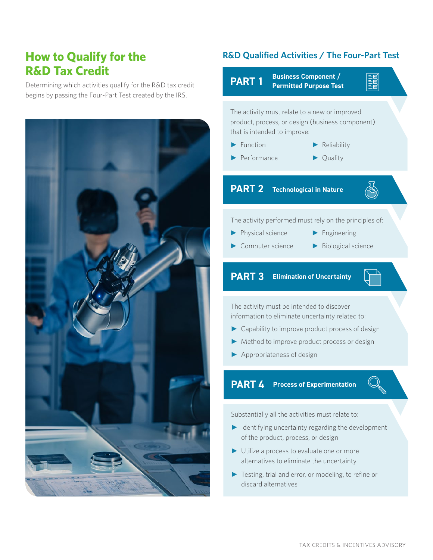## **How to Qualify for the R&D Tax Credit**

Determining which activities qualify for the R&D tax credit begins by passing the Four-Part Test created by the IRS.



#### **R&D Qualified Activities / The Four-Part Test**



Substantially all the activities must relate to:

- ► Identifying uncertainty regarding the development of the product, process, or design
- ► Utilize a process to evaluate one or more alternatives to eliminate the uncertainty
- ► Testing, trial and error, or modeling, to refine or discard alternatives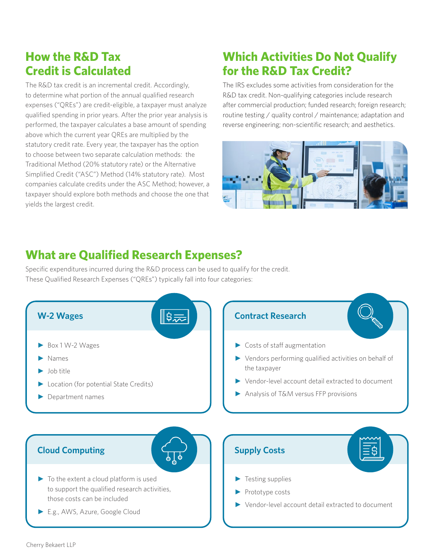## **How the R&D Tax Credit is Calculated**

The R&D tax credit is an incremental credit. Accordingly, to determine what portion of the annual qualified research expenses ("QREs") are credit-eligible, a taxpayer must analyze qualified spending in prior years. After the prior year analysis is performed, the taxpayer calculates a base amount of spending above which the current year QREs are multiplied by the statutory credit rate. Every year, the taxpayer has the option to choose between two separate calculation methods: the Traditional Method (20% statutory rate) or the Alternative Simplified Credit ("ASC") Method (14% statutory rate). Most companies calculate credits under the ASC Method; however, a taxpayer should explore both methods and choose the one that yields the largest credit.

## **Which Activities Do Not Qualify for the R&D Tax Credit?**

The IRS excludes some activities from consideration for the R&D tax credit. Non-qualifying categories include research after commercial production; funded research; foreign research; routine testing / quality control / maintenance; adaptation and reverse engineering; non-scientific research; and aesthetics.



## **What are Qualified Research Expenses?**

Specific expenditures incurred during the R&D process can be used to qualify for the credit. These Qualified Research Expenses ("QREs") typically fall into four categories:

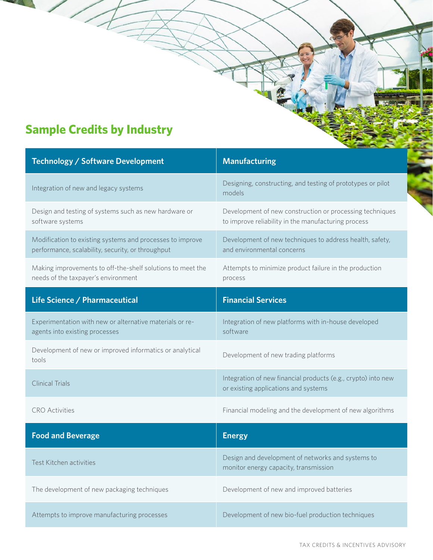# **Sample Credits by Industry**

| <b>Technology / Software Development</b>                                                                       | <b>Manufacturing</b>                                                                                            |  |  |  |  |  |  |  |  |
|----------------------------------------------------------------------------------------------------------------|-----------------------------------------------------------------------------------------------------------------|--|--|--|--|--|--|--|--|
| Integration of new and legacy systems                                                                          | Designing, constructing, and testing of prototypes or pilot<br>models                                           |  |  |  |  |  |  |  |  |
| Design and testing of systems such as new hardware or<br>software systems                                      | Development of new construction or processing techniques<br>to improve reliability in the manufacturing process |  |  |  |  |  |  |  |  |
| Modification to existing systems and processes to improve<br>performance, scalability, security, or throughput | Development of new techniques to address health, safety,<br>and environmental concerns                          |  |  |  |  |  |  |  |  |
| Making improvements to off-the-shelf solutions to meet the<br>needs of the taxpayer's environment              | Attempts to minimize product failure in the production<br>process                                               |  |  |  |  |  |  |  |  |
| Life Science / Pharmaceutical                                                                                  | <b>Financial Services</b>                                                                                       |  |  |  |  |  |  |  |  |
| Experimentation with new or alternative materials or re-<br>agents into existing processes                     | Integration of new platforms with in-house developed<br>software                                                |  |  |  |  |  |  |  |  |
| Development of new or improved informatics or analytical<br>tools                                              | Development of new trading platforms                                                                            |  |  |  |  |  |  |  |  |
| <b>Clinical Trials</b>                                                                                         | Integration of new financial products (e.g., crypto) into new<br>or existing applications and systems           |  |  |  |  |  |  |  |  |
| <b>CRO</b> Activities                                                                                          | Financial modeling and the development of new algorithms                                                        |  |  |  |  |  |  |  |  |
| <b>Food and Beverage</b>                                                                                       | <b>Energy</b>                                                                                                   |  |  |  |  |  |  |  |  |
| Test Kitchen activities                                                                                        | Design and development of networks and systems to<br>monitor energy capacity, transmission                      |  |  |  |  |  |  |  |  |
| The development of new packaging techniques                                                                    | Development of new and improved batteries                                                                       |  |  |  |  |  |  |  |  |
| Attempts to improve manufacturing processes                                                                    | Development of new bio-fuel production techniques                                                               |  |  |  |  |  |  |  |  |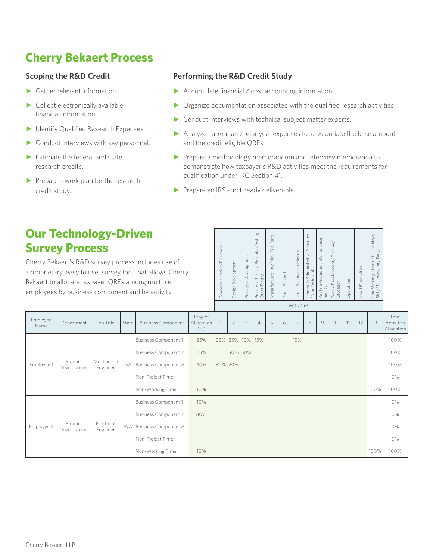# **Cherry Bekaert Process**

#### **Scoping the R&D Credit**

- ► Gather relevant information.
- ► Collect electronically available financial information.
- ► Identify Qualified Research Expenses.
- ► Conduct interviews with key personnel.
- $\blacktriangleright$  Estimate the federal and state research credits.
- ► Prepare a work plan for the research credit study.

#### **Performing the R&D Credit Study**

- ► Accumulate financial / cost accounting information.
- ► Organize documentation associated with the qualified research activities.
- ► Conduct interviews with technical subject matter experts.
- ► Analyze current and prior year expenses to substantiate the base amount and the credit eligible QREs.
- ► Prepare a methodology memorandum and interview memoranda to demonstrate how taxpayer's R&D activities meet the requirements for qualification under IRC Section 41.
- ▶ Prepare an IRS audit-ready deliverable.

### **Our Technolo Survey Proce**

Department

Development

Development

Cherry Bekaert's R&D sur a proprietary, easy to use Bekaert to allocate taxpa employees by business component

| ogy-Driven<br>ess<br>urvey process includes use of<br>se, survey tool that allows Cherry<br>ayer QREs among multiple<br>component and by activity. |       |                             |                               | Conceptualization/Discovery | Development<br>Design I | Prototype Development | Prototype Testing, Benchtop Testing,<br>Other Testing | <b>Runs</b><br>Trial<br>Manufacturability/Pilot/ | Direct Support | Direct Supervision/Review<br>Activities | General & Administrative Activities<br>(Non-Technical) | Routine Production, Maintenance,<br>and QC | People Development/Training,<br>Education | Operations | Non-US Activities | Non-Working Time (PTO, Holidays,<br>Sick/Mat Leave, Jury Duty) |                                          |
|----------------------------------------------------------------------------------------------------------------------------------------------------|-------|-----------------------------|-------------------------------|-----------------------------|-------------------------|-----------------------|-------------------------------------------------------|--------------------------------------------------|----------------|-----------------------------------------|--------------------------------------------------------|--------------------------------------------|-------------------------------------------|------------|-------------------|----------------------------------------------------------------|------------------------------------------|
| Job Title                                                                                                                                          | State | <b>Business Component</b>   | Project<br>Allocation<br>(% ) |                             | $\overline{2}$          | 3                     | $\overline{4}$                                        | 5                                                | 6              | 7                                       | 8                                                      | 9                                          | 10                                        | 11         | 12                | 13                                                             | Total<br><b>Activities</b><br>Allocation |
| Mechanical<br>Engineer                                                                                                                             |       | <b>Business Component 1</b> | 25%                           |                             | 25% 35% 10% 15%         |                       |                                                       |                                                  |                | 15%                                     |                                                        |                                            |                                           |            |                   |                                                                | 100%                                     |
|                                                                                                                                                    |       | <b>Business Component 2</b> | 25%                           |                             | 50% 50%                 |                       |                                                       |                                                  |                |                                         |                                                        |                                            |                                           |            |                   |                                                                | 100%                                     |
|                                                                                                                                                    | GA    | <b>Business Component A</b> | 40%                           | 80% 20%                     |                         |                       |                                                       |                                                  |                |                                         |                                                        |                                            |                                           |            |                   |                                                                | 100%                                     |
|                                                                                                                                                    |       | Non-Project Time*           |                               |                             |                         |                       |                                                       |                                                  |                |                                         |                                                        |                                            |                                           |            |                   |                                                                | 0%                                       |
|                                                                                                                                                    |       | Non-Working Time            | 10%                           |                             |                         |                       |                                                       |                                                  |                |                                         |                                                        |                                            |                                           |            |                   | 100%                                                           | 100%                                     |
| Electrical<br>Engineer                                                                                                                             |       | <b>Business Component 1</b> | 10%                           |                             |                         |                       |                                                       |                                                  |                |                                         |                                                        |                                            |                                           |            |                   |                                                                | 0%                                       |
|                                                                                                                                                    |       | <b>Business Component 2</b> | 80%                           |                             |                         |                       |                                                       |                                                  |                |                                         |                                                        |                                            |                                           |            |                   |                                                                | 0%                                       |
|                                                                                                                                                    |       | WA Business Component A     |                               |                             |                         |                       |                                                       |                                                  |                |                                         |                                                        |                                            |                                           |            |                   |                                                                | 0%                                       |
|                                                                                                                                                    |       | Non-Project Time*           |                               |                             |                         |                       |                                                       |                                                  |                |                                         |                                                        |                                            |                                           |            |                   |                                                                | 0%                                       |
|                                                                                                                                                    |       | Non-Working Time            | 10%                           |                             |                         |                       |                                                       |                                                  |                |                                         |                                                        |                                            |                                           |            |                   | 100%                                                           | 100%                                     |

Employee

Employee 1 Product

Employee 2 Product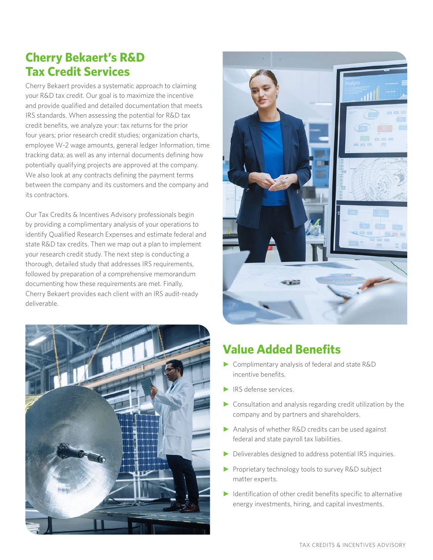## **Cherry Bekaert's R&D Tax Credit Services**

Cherry Bekaert provides a systematic approach to claiming your R&D tax credit. Our goal is to maximize the incentive and provide qualified and detailed documentation that meets IRS standards. When assessing the potential for R&D tax credit benefits, we analyze your: tax returns for the prior four years; prior research credit studies; organization charts, employee W-2 wage amounts, general ledger Information, time tracking data; as well as any internal documents defining how potentially qualifying projects are approved at the company. We also look at any contracts defining the payment terms between the company and its customers and the company and its contractors.

Our Tax Credits & Incentives Advisory professionals begin by providing a complimentary analysis of your operations to identify Qualified Research Expenses and estimate federal and state R&D tax credits. Then we map out a plan to implement your research credit study. The next step is conducting a thorough, detailed study that addresses IRS requirements, followed by preparation of a comprehensive memorandum documenting how these requirements are met. Finally, Cherry Bekaert provides each client with an IRS audit-ready deliverable.





## **Value Added Benefits**

- ► Complimentary analysis of federal and state R&D incentive benefits.
- ► IRS defense services.
- ► Consultation and analysis regarding credit utilization by the company and by partners and shareholders.
- ► Analysis of whether R&D credits can be used against federal and state payroll tax liabilities.
- ► Deliverables designed to address potential IRS inquiries.
- ► Proprietary technology tools to survey R&D subject matter experts.
- ► Identification of other credit benefits specific to alternative energy investments, hiring, and capital investments.